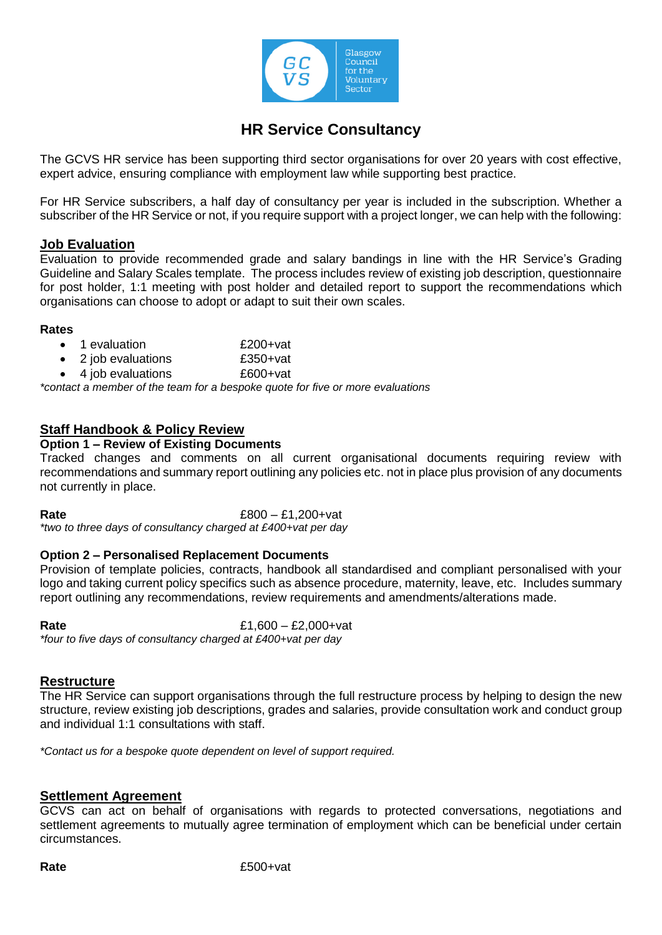

# **HR Service Consultancy**

The GCVS HR service has been supporting third sector organisations for over 20 years with cost effective, expert advice, ensuring compliance with employment law while supporting best practice.

For HR Service subscribers, a half day of consultancy per year is included in the subscription. Whether a subscriber of the HR Service or not, if you require support with a project longer, we can help with the following:

### **Job Evaluation**

Evaluation to provide recommended grade and salary bandings in line with the HR Service's Grading Guideline and Salary Scales template. The process includes review of existing job description, questionnaire for post holder, 1:1 meeting with post holder and detailed report to support the recommendations which organisations can choose to adopt or adapt to suit their own scales.

#### **Rates**

- 1 evaluation £200+vat
- 2 job evaluations £350+vat
- 4 job evaluations £600+vat

*\*contact a member of the team for a bespoke quote for five or more evaluations*

# **Staff Handbook & Policy Review**

### **Option 1 – Review of Existing Documents**

Tracked changes and comments on all current organisational documents requiring review with recommendations and summary report outlining any policies etc. not in place plus provision of any documents not currently in place.

**Rate** £800 – £1,200+vat

*\*two to three days of consultancy charged at £400+vat per day*

### **Option 2 – Personalised Replacement Documents**

Provision of template policies, contracts, handbook all standardised and compliant personalised with your logo and taking current policy specifics such as absence procedure, maternity, leave, etc. Includes summary report outlining any recommendations, review requirements and amendments/alterations made.

**Rate** £1,600 – £2,000+vat *\*four to five days of consultancy charged at £400+vat per day*

### **Restructure**

The HR Service can support organisations through the full restructure process by helping to design the new structure, review existing job descriptions, grades and salaries, provide consultation work and conduct group and individual 1:1 consultations with staff.

*\*Contact us for a bespoke quote dependent on level of support required.*

# **Settlement Agreement**

GCVS can act on behalf of organisations with regards to protected conversations, negotiations and settlement agreements to mutually agree termination of employment which can be beneficial under certain circumstances.